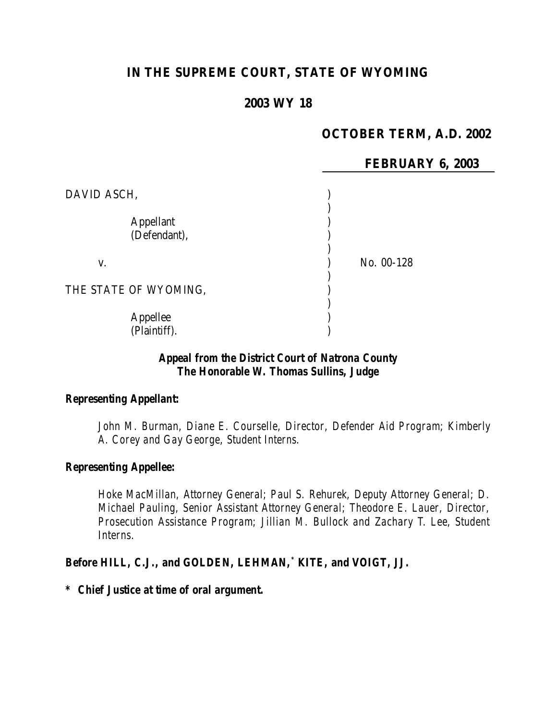# **IN THE SUPREME COURT, STATE OF WYOMING**

# **2003 WY 18**

# **OCTOBER TERM, A.D. 2002**

|                                  | FEBRUARY 6, 2003 |
|----------------------------------|------------------|
| DAVID ASCH,                      |                  |
| <b>Appellant</b><br>(Defendant), |                  |
| V.                               | No. 00-128       |
| THE STATE OF WYOMING,            |                  |
| Appellee<br>(Plaintiff).         |                  |

### *Appeal from the District Court of Natrona County The Honorable W. Thomas Sullins, Judge*

#### *Representing Appellant:*

*John M. Burman, Diane E. Courselle, Director, Defender Aid Program; Kimberly A. Corey and Gay George, Student Interns.*

#### *Representing Appellee:*

*Hoke MacMillan, Attorney General; Paul S. Rehurek, Deputy Attorney General; D. Michael Pauling, Senior Assistant Attorney General; Theodore E. Lauer, Director, Prosecution Assistance Program; Jillian M. Bullock and Zachary T. Lee, Student Interns.*

#### *Before HILL, C.J., and GOLDEN, LEHMAN,\* KITE, and VOIGT, JJ.*

#### *\* Chief Justice at time of oral argument.*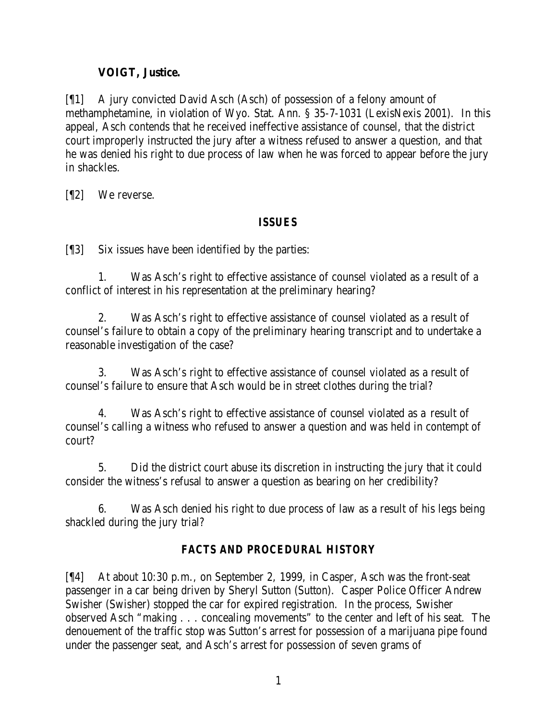# **VOIGT, Justice.**

[¶1] A jury convicted David Asch (Asch) of possession of a felony amount of methamphetamine, in violation of Wyo. Stat. Ann. § 35-7-1031 (LexisNexis 2001). In this appeal, Asch contends that he received ineffective assistance of counsel, that the district court improperly instructed the jury after a witness refused to answer a question, and that he was denied his right to due process of law when he was forced to appear before the jury in shackles.

[¶2] We reverse.

## *ISSUES*

[¶3] Six issues have been identified by the parties:

1. Was Asch's right to effective assistance of counsel violated as a result of a conflict of interest in his representation at the preliminary hearing?

2. Was Asch's right to effective assistance of counsel violated as a result of counsel's failure to obtain a copy of the preliminary hearing transcript and to undertake a reasonable investigation of the case?

3. Was Asch's right to effective assistance of counsel violated as a result of counsel's failure to ensure that Asch would be in street clothes during the trial?

4. Was Asch's right to effective assistance of counsel violated as a result of counsel's calling a witness who refused to answer a question and was held in contempt of court?

5. Did the district court abuse its discretion in instructing the jury that it could consider the witness's refusal to answer a question as bearing on her credibility?

6. Was Asch denied his right to due process of law as a result of his legs being shackled during the jury trial?

# *FACTS AND PROCEDURAL HISTORY*

[¶4] At about 10:30 p.m., on September 2, 1999, in Casper, Asch was the front-seat passenger in a car being driven by Sheryl Sutton (Sutton). Casper Police Officer Andrew Swisher (Swisher) stopped the car for expired registration. In the process, Swisher observed Asch "making . . . concealing movements" to the center and left of his seat. The denouement of the traffic stop was Sutton's arrest for possession of a marijuana pipe found under the passenger seat, and Asch's arrest for possession of seven grams of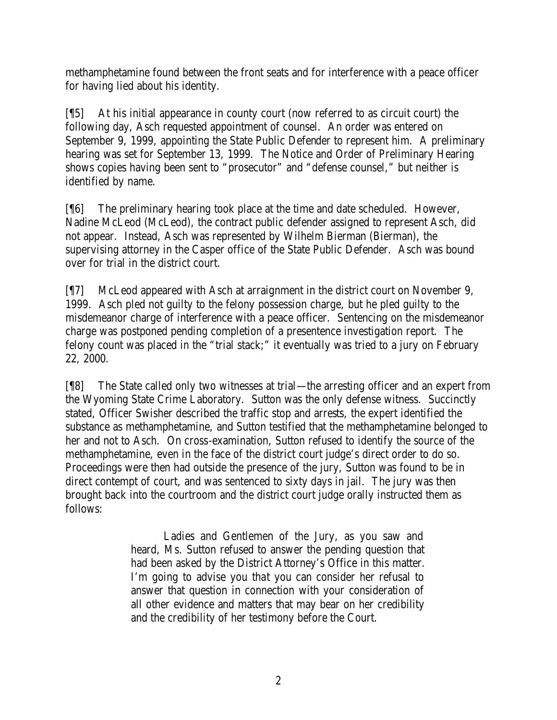methamphetamine found between the front seats and for interference with a peace officer for having lied about his identity.

[¶5] At his initial appearance in county court (now referred to as circuit court) the following day, Asch requested appointment of counsel. An order was entered on September 9, 1999, appointing the State Public Defender to represent him. A preliminary hearing was set for September 13, 1999. The Notice and Order of Preliminary Hearing shows copies having been sent to "prosecutor" and "defense counsel," but neither is identified by name.

[¶6] The preliminary hearing took place at the time and date scheduled. However, Nadine McLeod (McLeod), the contract public defender assigned to represent Asch, did not appear. Instead, Asch was represented by Wilhelm Bierman (Bierman), the supervising attorney in the Casper office of the State Public Defender. Asch was bound over for trial in the district court.

[¶7] McLeod appeared with Asch at arraignment in the district court on November 9, 1999. Asch pled not guilty to the felony possession charge, but he pled guilty to the misdemeanor charge of interference with a peace officer. Sentencing on the misdemeanor charge was postponed pending completion of a presentence investigation report. The felony count was placed in the "trial stack;" it eventually was tried to a jury on February 22, 2000.

[¶8] The State called only two witnesses at trial—the arresting officer and an expert from the Wyoming State Crime Laboratory. Sutton was the only defense witness. Succinctly stated, Officer Swisher described the traffic stop and arrests, the expert identified the substance as methamphetamine, and Sutton testified that the methamphetamine belonged to her and not to Asch. On cross-examination, Sutton refused to identify the source of the methamphetamine, even in the face of the district court judge's direct order to do so. Proceedings were then had outside the presence of the jury, Sutton was found to be in direct contempt of court, and was sentenced to sixty days in jail. The jury was then brought back into the courtroom and the district court judge orally instructed them as follows:

> Ladies and Gentlemen of the Jury, as you saw and heard, Ms. Sutton refused to answer the pending question that had been asked by the District Attorney's Office in this matter. I'm going to advise you that you can consider her refusal to answer that question in connection with your consideration of all other evidence and matters that may bear on her credibility and the credibility of her testimony before the Court.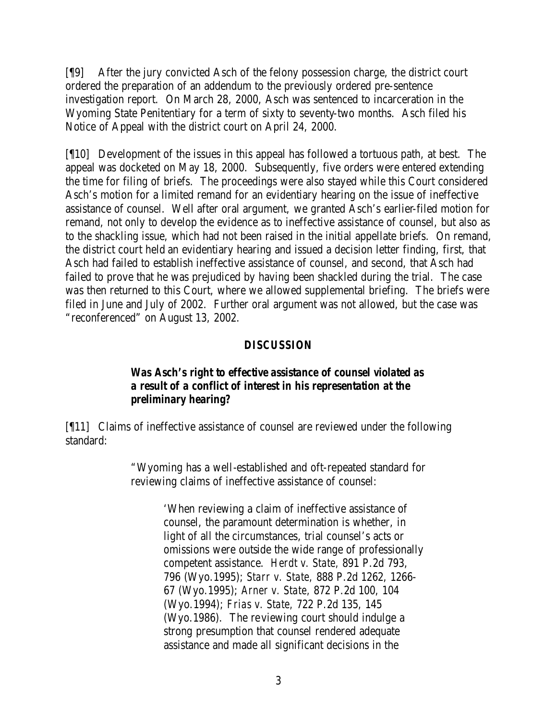[¶9] After the jury convicted Asch of the felony possession charge, the district court ordered the preparation of an addendum to the previously ordered pre-sentence investigation report. On March 28, 2000, Asch was sentenced to incarceration in the Wyoming State Penitentiary for a term of sixty to seventy-two months. Asch filed his Notice of Appeal with the district court on April 24, 2000.

[¶10] Development of the issues in this appeal has followed a tortuous path, at best. The appeal was docketed on May 18, 2000. Subsequently, five orders were entered extending the time for filing of briefs. The proceedings were also stayed while this Court considered Asch's motion for a limited remand for an evidentiary hearing on the issue of ineffective assistance of counsel. Well after oral argument, we granted Asch's earlier-filed motion for remand, not only to develop the evidence as to ineffective assistance of counsel, but also as to the shackling issue, which had not been raised in the initial appellate briefs. On remand, the district court held an evidentiary hearing and issued a decision letter finding, first, that Asch had failed to establish ineffective assistance of counsel, and second, that Asch had failed to prove that he was prejudiced by having been shackled during the trial. The case was then returned to this Court, where we allowed supplemental briefing. The briefs were filed in June and July of 2002. Further oral argument was not allowed, but the case was "reconferenced" on August 13, 2002.

#### *DISCUSSION*

### *Was Asch's right to effective assistance of counsel violated as a result of a conflict of interest in his representation at the preliminary hearing?*

[¶11] Claims of ineffective assistance of counsel are reviewed under the following standard:

> "Wyoming has a well-established and oft-repeated standard for reviewing claims of ineffective assistance of counsel:

> > 'When reviewing a claim of ineffective assistance of counsel, the paramount determination is whether, in light of all the circumstances, trial counsel's acts or omissions were outside the wide range of professionally competent assistance. *Herdt v. State,* 891 P.2d 793, 796 (Wyo.1995); *Starr v. State,* 888 P.2d 1262, 1266- 67 (Wyo.1995); *Arner v. State,* 872 P.2d 100, 104 (Wyo.1994); *Frias v. State,* 722 P.2d 135, 145 (Wyo.1986). The reviewing court should indulge a strong presumption that counsel rendered adequate assistance and made all significant decisions in the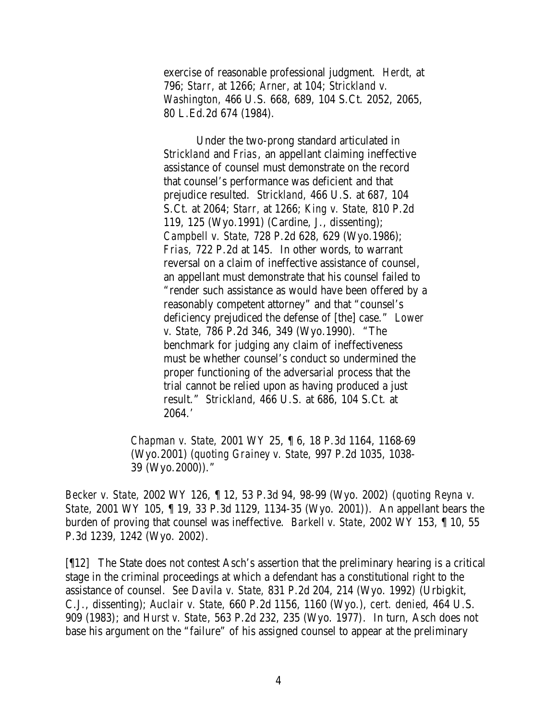exercise of reasonable professional judgment. *Herdt,* at 796; *Starr,* at 1266; *Arner,* at 104; *Strickland v. Washington,* 466 U.S. 668, 689, 104 S.Ct. 2052, 2065, 80 L.Ed.2d 674 (1984).

Under the two-prong standard articulated in *Strickland* and *Frias*, an appellant claiming ineffective assistance of counsel must demonstrate on the record that counsel's performance was deficient and that prejudice resulted. *Strickland,* 466 U.S. at 687, 104 S.Ct. at 2064; *Starr,* at 1266; *King v. State,* 810 P.2d 119, 125 (Wyo.1991) (Cardine, J., dissenting); *Campbell v. State,* 728 P.2d 628, 629 (Wyo.1986); *Frias,* 722 P.2d at 145. In other words, to warrant reversal on a claim of ineffective assistance of counsel, an appellant must demonstrate that his counsel failed to "render such assistance as would have been offered by a reasonably competent attorney" and that "counsel's deficiency prejudiced the defense of [the] case." *Lower v. State,* 786 P.2d 346, 349 (Wyo.1990). "The benchmark for judging any claim of ineffectiveness must be whether counsel's conduct so undermined the proper functioning of the adversarial process that the trial cannot be relied upon as having produced a just result." *Strickland,* 466 U.S. at 686, 104 S.Ct. at 2064.'

*Chapman v. State,* 2001 WY 25, ¶ 6, 18 P.3d 1164, 1168-69 (Wyo.2001) (*quoting Grainey v. State,* 997 P.2d 1035, 1038- 39 (Wyo.2000))."

*Becker v. State,* 2002 WY 126, ¶ 12, 53 P.3d 94, 98-99 (Wyo. 2002) (*quoting Reyna v. State,* 2001 WY 105, ¶ 19, 33 P.3d 1129, 1134-35 (Wyo. 2001)). An appellant bears the burden of proving that counsel was ineffective. *Barkell v. State,* 2002 WY 153, ¶ 10, 55 P.3d 1239, 1242 (Wyo. 2002).

[¶12] The State does not contest Asch's assertion that the preliminary hearing is a critical stage in the criminal proceedings at which a defendant has a constitutional right to the assistance of counsel. *See Davila v. State,* 831 P.2d 204, 214 (Wyo. 1992) (Urbigkit, C.J., dissenting); *Auclair v. State,* 660 P.2d 1156, 1160 (Wyo.), *cert. denied*, 464 U.S. 909 (1983); and *Hurst v. State*, 563 P.2d 232, 235 (Wyo. 1977). In turn, Asch does not base his argument on the "failure" of his assigned counsel to appear at the preliminary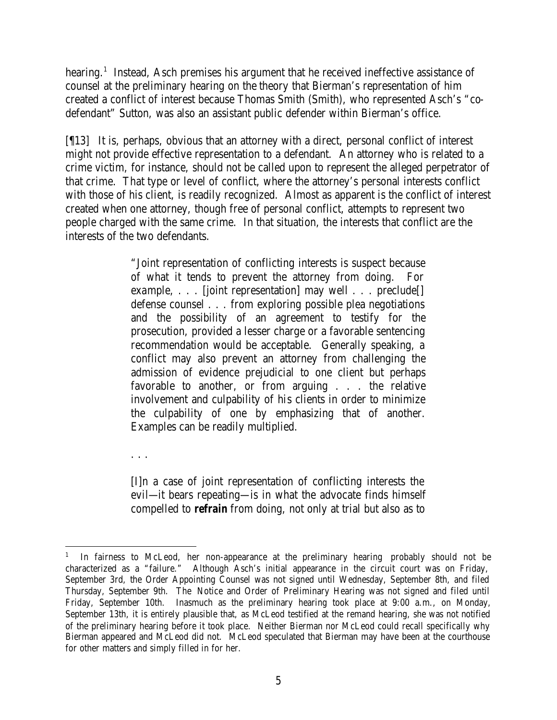hearing.<sup>1</sup> Instead, Asch premises his argument that he received ineffective assistance of counsel at the preliminary hearing on the theory that Bierman's representation of him created a conflict of interest because Thomas Smith (Smith), who represented Asch's "codefendant" Sutton, was also an assistant public defender within Bierman's office.

[¶13] It is, perhaps, obvious that an attorney with a direct, personal conflict of interest might not provide effective representation to a defendant. An attorney who is related to a crime victim, for instance, should not be called upon to represent the alleged perpetrator of that crime. That type or level of conflict, where the attorney's personal interests conflict with those of his client, is readily recognized. Almost as apparent is the conflict of interest created when one attorney, though free of personal conflict, attempts to represent two people charged with the same crime. In that situation, the interests that conflict are the interests of the two defendants.

> "Joint representation of conflicting interests is suspect because of what it tends to prevent the attorney from doing. For example, ... [joint representation] may well ... preclude[] defense counsel . . . from exploring possible plea negotiations and the possibility of an agreement to testify for the prosecution, provided a lesser charge or a favorable sentencing recommendation would be acceptable. Generally speaking, a conflict may also prevent an attorney from challenging the admission of evidence prejudicial to one client but perhaps favorable to another, or from arguing . . . the relative involvement and culpability of his clients in order to minimize the culpability of one by emphasizing that of another. Examples can be readily multiplied.

. . .

[I]n a case of joint representation of conflicting interests the evil—it bears repeating—is in what the advocate finds himself compelled to *refrain* from doing, not only at trial but also as to

 1 In fairness to McLeod, her non-appearance at the preliminary hearing probably should not be characterized as a "failure." Although Asch's initial appearance in the circuit court was on Friday, September 3rd, the Order Appointing Counsel was not signed until Wednesday, September 8th, and filed Thursday, September 9th. The Notice and Order of Preliminary Hearing was not signed and filed until Friday, September 10th. Inasmuch as the preliminary hearing took place at 9:00 a.m., on Monday, September 13th, it is entirely plausible that, as McLeod testified at the remand hearing, she was not notified of the preliminary hearing before it took place. Neither Bierman nor McLeod could recall specifically why Bierman appeared and McLeod did not. McLeod speculated that Bierman may have been at the courthouse for other matters and simply filled in for her.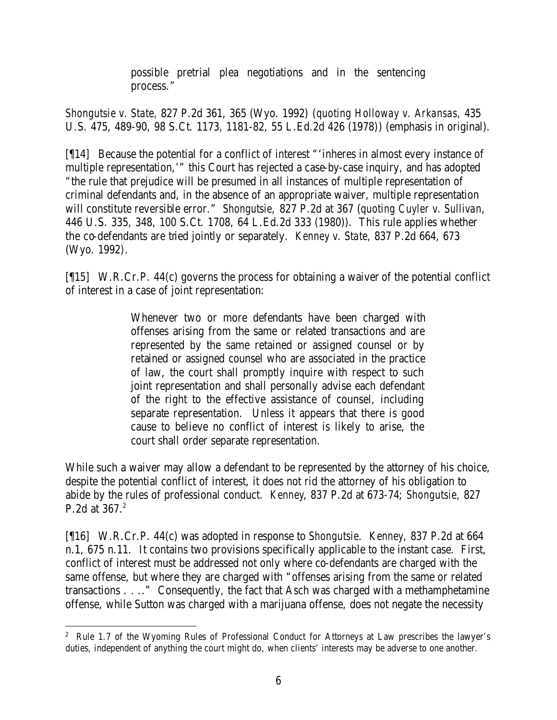possible pretrial plea negotiations and in the sentencing process."

*Shongutsie v. State,* 827 P.2d 361, 365 (Wyo. 1992) (*quoting Holloway v. Arkansas,* 435 U.S. 475, 489-90, 98 S.Ct. 1173, 1181-82, 55 L.Ed.2d 426 (1978)) (emphasis in original).

[¶14] Because the potential for a conflict of interest "'inheres in almost every instance of multiple representation,'" this Court has rejected a case-by-case inquiry, and has adopted "the rule that prejudice will be presumed in all instances of multiple representation of criminal defendants and, in the absence of an appropriate waiver, multiple representation will constitute reversible error." *Shongutsie,* 827 P.2d at 367 (*quoting Cuyler v. Sullivan*, 446 U.S. 335, 348, 100 S.Ct. 1708, 64 L.Ed.2d 333 (1980)). This rule applies whether the co-defendants are tried jointly or separately. *Kenney v. State,* 837 P.2d 664, 673 (Wyo. 1992).

[¶15] W.R.Cr.P. 44(c) governs the process for obtaining a waiver of the potential conflict of interest in a case of joint representation:

> Whenever two or more defendants have been charged with offenses arising from the same or related transactions and are represented by the same retained or assigned counsel or by retained or assigned counsel who are associated in the practice of law, the court shall promptly inquire with respect to such joint representation and shall personally advise each defendant of the right to the effective assistance of counsel, including separate representation. Unless it appears that there is good cause to believe no conflict of interest is likely to arise, the court shall order separate representation.

While such a waiver may allow a defendant to be represented by the attorney of his choice, despite the potential conflict of interest, it does not rid the attorney of his obligation to abide by the rules of professional conduct. *Kenney*, 837 P.2d at 673-74; *Shongutsie,* 827 P.2d at 367. 2

[¶16] W.R.Cr.P. 44(c) was adopted in response to *Shongutsie. Kenney,* 837 P.2d at 664 n.1, 675 n.11. It contains two provisions specifically applicable to the instant case. First, conflict of interest must be addressed not only where co-defendants are charged with the same offense, but where they are charged with "offenses arising from the same or related transactions . . .." Consequently, the fact that Asch was charged with a methamphetamine offense, while Sutton was charged with a marijuana offense, does not negate the necessity

<sup>&</sup>lt;sup>2</sup> Rule 1.7 of the Wyoming Rules of Professional Conduct for Attorneys at Law prescribes the lawyer's duties, independent of anything the court might do, when clients' interests may be adverse to one another.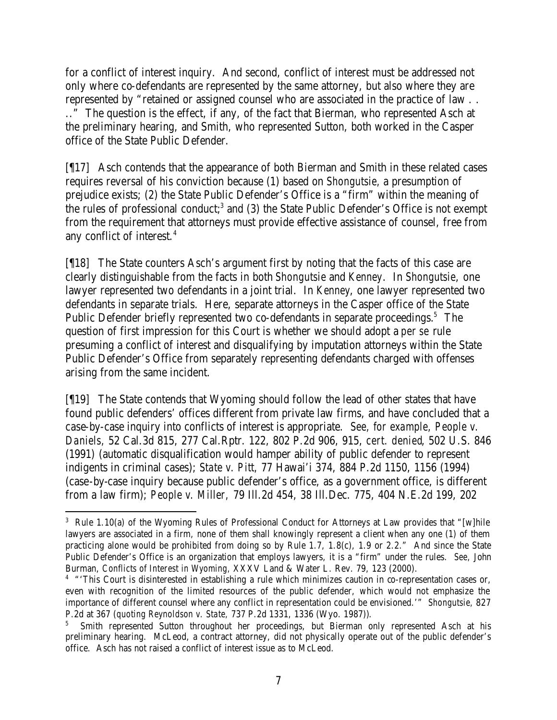for a conflict of interest inquiry. And second, conflict of interest must be addressed not only where co-defendants are represented by the same attorney, but also where they are represented by "retained or assigned counsel who are associated in the practice of law . . .." The question is the effect, if any, of the fact that Bierman, who represented Asch at the preliminary hearing, and Smith, who represented Sutton, both worked in the Casper office of the State Public Defender.

[¶17] Asch contends that the appearance of both Bierman and Smith in these related cases requires reversal of his conviction because (1) based on *Shongutsie,* a presumption of prejudice exists; (2) the State Public Defender's Office is a "firm" within the meaning of the rules of professional conduct;<sup>3</sup> and (3) the State Public Defender's Office is not exempt from the requirement that attorneys must provide effective assistance of counsel, free from any conflict of interest.<sup>4</sup>

[¶18] The State counters Asch's argument first by noting that the facts of this case are clearly distinguishable from the facts in both *Shongutsie* and *Kenney*. In *Shongutsie*, one lawyer represented two defendants in a joint trial. In *Kenney*, one lawyer represented two defendants in separate trials. Here, separate attorneys in the Casper office of the State Public Defender briefly represented two co-defendants in separate proceedings.<sup>5</sup> The question of first impression for this Court is whether we should adopt a *per se* rule presuming a conflict of interest and disqualifying by imputation attorneys within the State Public Defender's Office from separately representing defendants charged with offenses arising from the same incident.

[¶19] The State contends that Wyoming should follow the lead of other states that have found public defenders' offices different from private law firms, and have concluded that a case-by-case inquiry into conflicts of interest is appropriate. *See, for example, People v. Daniels,* 52 Cal.3d 815, 277 Cal.Rptr. 122, 802 P.2d 906, 915, *cert. denied*, 502 U.S. 846 (1991) (automatic disqualification would hamper ability of public defender to represent indigents in criminal cases); *State v. Pitt,* 77 Hawai'i 374, 884 P.2d 1150, 1156 (1994) (case-by-case inquiry because public defender's office, as a government office, is different from a law firm); *People v. Miller,* 79 Ill.2d 454, 38 Ill.Dec. 775, 404 N.E.2d 199, 202

<sup>&</sup>lt;sup>3</sup> Rule 1.10(a) of the Wyoming Rules of Professional Conduct for Attorneys at Law provides that "[w]hile lawyers are associated in a firm, none of them shall knowingly represent a client when any one (1) of them practicing alone would be prohibited from doing so by Rule 1.7, 1.8(c), 1.9 or 2.2." And since the State Public Defender's Office is an organization that employs lawyers, it is a "firm" under the rules. *See,* John Burman, *Conflicts of Interest in Wyoming,* XXXV Land & Water L. Rev. 79, 123 (2000).

<sup>&</sup>lt;sup>4</sup> "This Court is disinterested in establishing a rule which minimizes caution in co-representation cases or, even with recognition of the limited resources of the public defender, which would not emphasize the importance of different counsel where any conflict in representation could be envisioned.'" *Shongutsie,* 827 P.2d at 367 (*quoting Reynoldson v. State,* 737 P.2d 1331, 1336 (Wyo. 1987)).

<sup>5</sup> Smith represented Sutton throughout her proceedings, but Bierman only represented Asch at his preliminary hearing. McLeod, a contract attorney, did not physically operate out of the public defender's office. Asch has not raised a conflict of interest issue as to McLeod.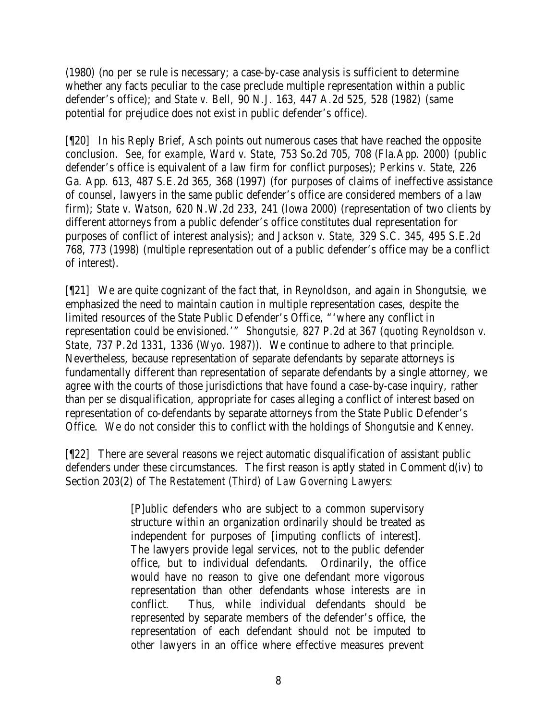(1980) (no *per se* rule is necessary; a case-by-case analysis is sufficient to determine whether any facts peculiar to the case preclude multiple representation within a public defender's office); and *State v. Bell,* 90 N.J. 163, 447 A.2d 525, 528 (1982) (same potential for prejudice does not exist in public defender's office).

[¶20] In his Reply Brief, Asch points out numerous cases that have reached the opposite conclusion. *See, for example, Ward v. State,* 753 So.2d 705, 708 (Fla.App. 2000) (public defender's office is equivalent of a law firm for conflict purposes); *Perkins v. State,* 226 Ga. App. 613, 487 S.E.2d 365, 368 (1997) (for purposes of claims of ineffective assistance of counsel, lawyers in the same public defender's office are considered members of a law firm); *State v. Watson, 620 N.W.2d 233, 241* (Iowa 2000) (representation of two clients by different attorneys from a public defender's office constitutes dual representation for purposes of conflict of interest analysis); and *Jackson v. State,* 329 S.C. 345, 495 S.E.2d 768, 773 (1998) (multiple representation out of a public defender's office may be a conflict of interest).

[¶21] We are quite cognizant of the fact that, in *Reynoldson*, and again in *Shongutsie*, we emphasized the need to maintain caution in multiple representation cases, despite the limited resources of the State Public Defender's Office, "'where any conflict in representation could be envisioned.'" *Shongutsie,* 827 P.2d at 367 (*quoting Reynoldson v. State,* 737 P.2d 1331, 1336 (Wyo. 1987)). We continue to adhere to that principle. Nevertheless, because representation of separate defendants by separate attorneys is fundamentally different than representation of separate defendants by a single attorney, we agree with the courts of those jurisdictions that have found a case-by-case inquiry, rather than *per se* disqualification, appropriate for cases alleging a conflict of interest based on representation of co-defendants by separate attorneys from the State Public Defender's Office. We do not consider this to conflict with the holdings of *Shongutsie* and *Kenney.*

[¶22] There are several reasons we reject automatic disqualification of assistant public defenders under these circumstances. The first reason is aptly stated in Comment d(iv) to Section 203(2) of *The Restatement (Third) of Law Governing Lawyers*:

> [P]ublic defenders who are subject to a common supervisory structure within an organization ordinarily should be treated as independent for purposes of [imputing conflicts of interest]. The lawyers provide legal services, not to the public defender office, but to individual defendants. Ordinarily, the office would have no reason to give one defendant more vigorous representation than other defendants whose interests are in conflict. Thus, while individual defendants should be represented by separate members of the defender's office, the representation of each defendant should not be imputed to other lawyers in an office where effective measures prevent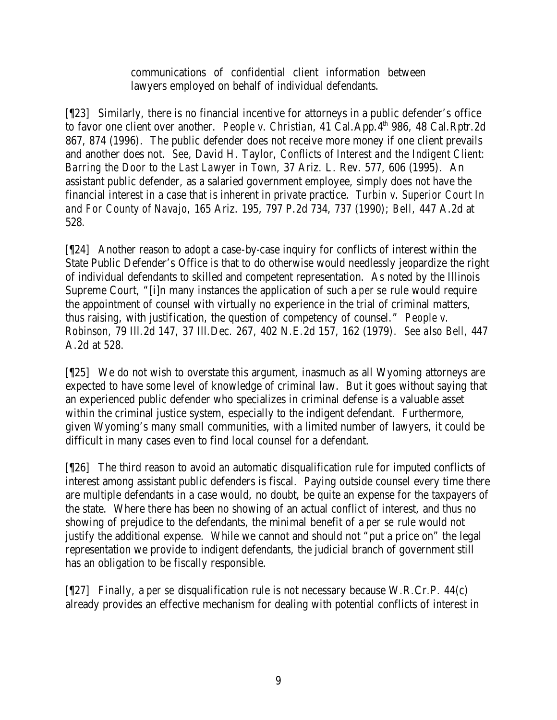communications of confidential client information between lawyers employed on behalf of individual defendants.

[¶23] Similarly, there is no financial incentive for attorneys in a public defender's office to favor one client over another. *People v. Christian*, 41 Cal.App.4<sup>th</sup> 986, 48 Cal.Rptr.2d 867, 874 (1996). The public defender does not receive more money if one client prevails and another does not. *See,* David H. Taylor, *Conflicts of Interest and the Indigent Client: Barring the Door to the Last Lawyer in Town,* 37 Ariz. L. Rev. 577, 606 (1995). An assistant public defender, as a salaried government employee, simply does not have the financial interest in a case that is inherent in private practice. *Turbin v. Superior Court In and For County of Navajo,* 165 Ariz. 195, 797 P.2d 734, 737 (1990); *Bell,* 447 A.2d at 528.

[¶24] Another reason to adopt a case-by-case inquiry for conflicts of interest within the State Public Defender's Office is that to do otherwise would needlessly jeopardize the right of individual defendants to skilled and competent representation. As noted by the Illinois Supreme Court, "[i]n many instances the application of such a *per se* rule would require the appointment of counsel with virtually no experience in the trial of criminal matters, thus raising, with justification, the question of competency of counsel." *People v. Robinson,* 79 Ill.2d 147, 37 Ill.Dec. 267, 402 N.E.2d 157, 162 (1979). *See also Bell,* 447 A.2d at 528.

[¶25] We do not wish to overstate this argument, inasmuch as all Wyoming attorneys are expected to have some level of knowledge of criminal law. But it goes without saying that an experienced public defender who specializes in criminal defense is a valuable asset within the criminal justice system, especially to the indigent defendant. Furthermore, given Wyoming's many small communities, with a limited number of lawyers, it could be difficult in many cases even to find local counsel for a defendant.

[¶26] The third reason to avoid an automatic disqualification rule for imputed conflicts of interest among assistant public defenders is fiscal. Paying outside counsel every time there are multiple defendants in a case would, no doubt, be quite an expense for the taxpayers of the state. Where there has been no showing of an actual conflict of interest, and thus no showing of prejudice to the defendants, the minimal benefit of a *per se* rule would not justify the additional expense. While we cannot and should not "put a price on" the legal representation we provide to indigent defendants, the judicial branch of government still has an obligation to be fiscally responsible.

[¶27] Finally, a *per se* disqualification rule is not necessary because W.R.Cr.P. 44(c) already provides an effective mechanism for dealing with potential conflicts of interest in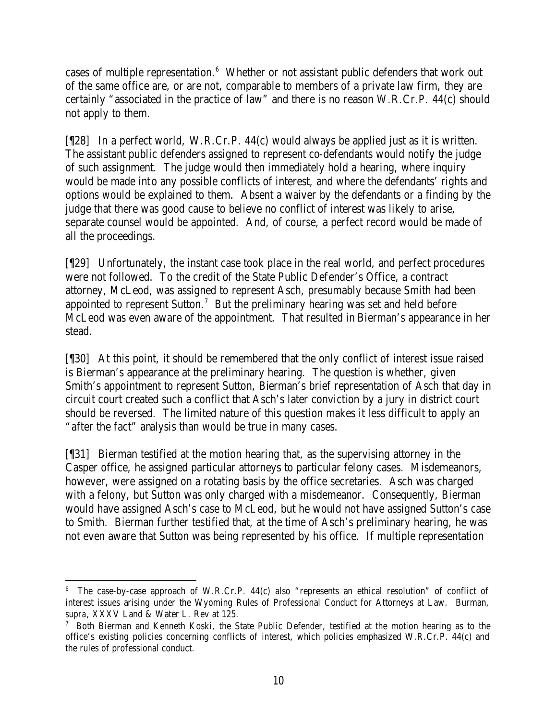cases of multiple representation.<sup>6</sup> Whether or not assistant public defenders that work out of the same office are, or are not, comparable to members of a private law firm, they are certainly "associated in the practice of law" and there is no reason W.R.Cr.P. 44(c) should not apply to them.

[¶28] In a perfect world, W.R.Cr.P. 44(c) would always be applied just as it is written. The assistant public defenders assigned to represent co-defendants would notify the judge of such assignment. The judge would then immediately hold a hearing, where inquiry would be made into any possible conflicts of interest, and where the defendants' rights and options would be explained to them. Absent a waiver by the defendants or a finding by the judge that there was good cause to believe no conflict of interest was likely to arise, separate counsel would be appointed. And, of course, a perfect record would be made of all the proceedings.

[¶29] Unfortunately, the instant case took place in the real world, and perfect procedures were not followed. To the credit of the State Public Defender's Office, a contract attorney, McLeod, was assigned to represent Asch, presumably because Smith had been appointed to represent Sutton.<sup>7</sup> But the preliminary hearing was set and held before McLeod was even aware of the appointment. That resulted in Bierman's appearance in her stead.

[¶30] At this point, it should be remembered that the only conflict of interest issue raised is Bierman's appearance at the preliminary hearing. The question is whether, given Smith's appointment to represent Sutton, Bierman's brief representation of Asch that day in circuit court created such a conflict that Asch's later conviction by a jury in district court should be reversed. The limited nature of this question makes it less difficult to apply an "after the fact" analysis than would be true in many cases.

[¶31] Bierman testified at the motion hearing that, as the supervising attorney in the Casper office, he assigned particular attorneys to particular felony cases. Misdemeanors, however, were assigned on a rotating basis by the office secretaries. Asch was charged with a felony, but Sutton was only charged with a misdemeanor. Consequently, Bierman would have assigned Asch's case to McLeod, but he would not have assigned Sutton's case to Smith. Bierman further testified that, at the time of Asch's preliminary hearing, he was not even aware that Sutton was being represented by his office. If multiple representation

<sup>6</sup> The case-by-case approach of W.R.Cr.P. 44(c) also "represents an ethical resolution" of conflict of interest issues arising under the Wyoming Rules of Professional Conduct for Attorneys at Law. Burman, *supra*, XXXV Land & Water L. Rev at 125.

<sup>&</sup>lt;sup>7</sup> Both Bierman and Kenneth Koski, the State Public Defender, testified at the motion hearing as to the office's existing policies concerning conflicts of interest, which policies emphasized W.R.Cr.P. 44(c) and the rules of professional conduct.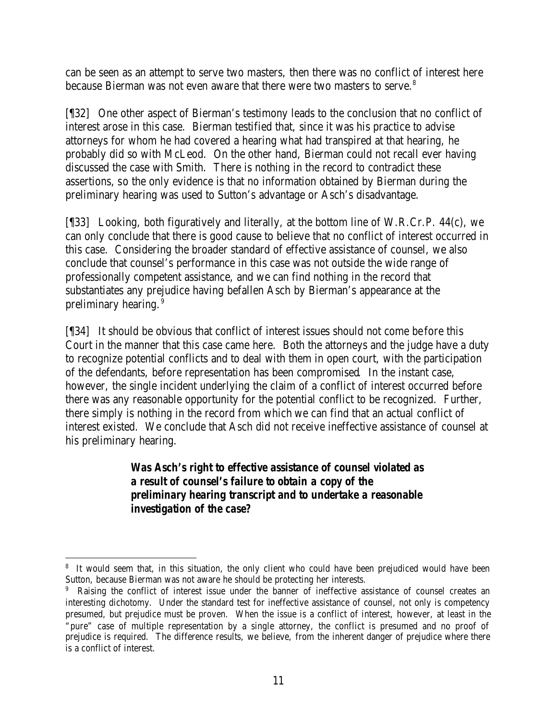can be seen as an attempt to serve two masters, then there was no conflict of interest here because Bierman was not even aware that there were two masters to serve.<sup>8</sup>

[¶32] One other aspect of Bierman's testimony leads to the conclusion that no conflict of interest arose in this case. Bierman testified that, since it was his practice to advise attorneys for whom he had covered a hearing what had transpired at that hearing, he probably did so with McLeod. On the other hand, Bierman could not recall ever having discussed the case with Smith. There is nothing in the record to contradict these assertions, so the only evidence is that no information obtained by Bierman during the preliminary hearing was used to Sutton's advantage or Asch's disadvantage.

[¶33] Looking, both figuratively and literally, at the bottom line of W.R.Cr.P. 44(c), we can only conclude that there is good cause to believe that no conflict of interest occurred in this case. Considering the broader standard of effective assistance of counsel, we also conclude that counsel's performance in this case was not outside the wide range of professionally competent assistance, and we can find nothing in the record that substantiates any prejudice having befallen Asch by Bierman's appearance at the preliminary hearing.<sup>9</sup>

[¶34] It should be obvious that conflict of interest issues should not come before this Court in the manner that this case came here. Both the attorneys and the judge have a duty to recognize potential conflicts and to deal with them in open court, with the participation of the defendants, before representation has been compromised. In the instant case, however, the single incident underlying the claim of a conflict of interest occurred before there was any reasonable opportunity for the potential conflict to be recognized. Further, there simply is nothing in the record from which we can find that an actual conflict of interest existed. We conclude that Asch did not receive ineffective assistance of counsel at his preliminary hearing.

> *Was Asch's right to effective assistance of counsel violated as a result of counsel's failure to obtain a copy of the preliminary hearing transcript and to undertake a reasonable investigation of the case?*

<sup>&</sup>lt;sup>8</sup> It would seem that, in this situation, the only client who could have been prejudiced would have been Sutton, because Bierman was not aware he should be protecting her interests.

<sup>9</sup> Raising the conflict of interest issue under the banner of ineffective assistance of counsel creates an interesting dichotomy. Under the standard test for ineffective assistance of counsel, not only is competency presumed, but prejudice must be proven. When the issue is a conflict of interest, however, at least in the "pure" case of multiple representation by a single attorney, the conflict is presumed and no proof of prejudice is required. The difference results, we believe, from the inherent danger of prejudice where there is a conflict of interest.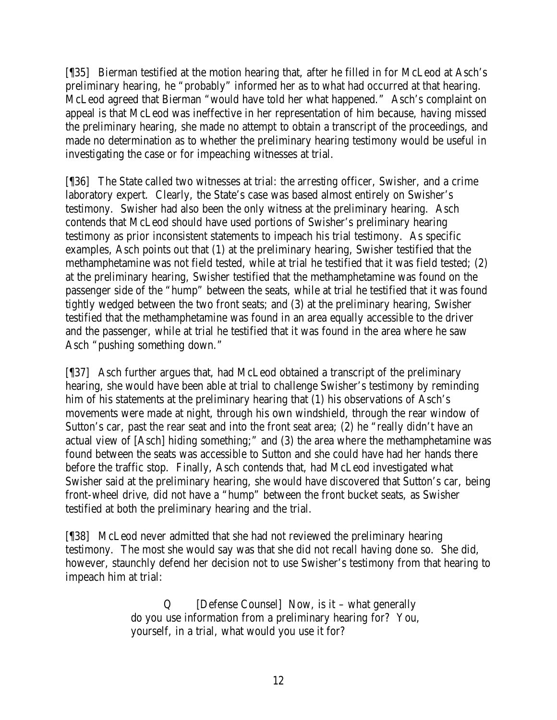[¶35] Bierman testified at the motion hearing that, after he filled in for McLeod at Asch's preliminary hearing, he "probably" informed her as to what had occurred at that hearing. McLeod agreed that Bierman "would have told her what happened." Asch's complaint on appeal is that McLeod was ineffective in her representation of him because, having missed the preliminary hearing, she made no attempt to obtain a transcript of the proceedings, and made no determination as to whether the preliminary hearing testimony would be useful in investigating the case or for impeaching witnesses at trial.

[¶36] The State called two witnesses at trial: the arresting officer, Swisher, and a crime laboratory expert. Clearly, the State's case was based almost entirely on Swisher's testimony. Swisher had also been the only witness at the preliminary hearing. Asch contends that McLeod should have used portions of Swisher's preliminary hearing testimony as prior inconsistent statements to impeach his trial testimony. As specific examples, Asch points out that (1) at the preliminary hearing, Swisher testified that the methamphetamine was not field tested, while at trial he testified that it was field tested; (2) at the preliminary hearing, Swisher testified that the methamphetamine was found on the passenger side of the "hump" between the seats, while at trial he testified that it was found tightly wedged between the two front seats; and (3) at the preliminary hearing, Swisher testified that the methamphetamine was found in an area equally accessible to the driver and the passenger, while at trial he testified that it was found in the area where he saw Asch "pushing something down."

[¶37] Asch further argues that, had McLeod obtained a transcript of the preliminary hearing, she would have been able at trial to challenge Swisher's testimony by reminding him of his statements at the preliminary hearing that (1) his observations of Asch's movements were made at night, through his own windshield, through the rear window of Sutton's car, past the rear seat and into the front seat area; (2) he "really didn't have an actual view of [Asch] hiding something;" and (3) the area where the methamphetamine was found between the seats was accessible to Sutton and she could have had her hands there before the traffic stop. Finally, Asch contends that, had McLeod investigated what Swisher said at the preliminary hearing, she would have discovered that Sutton's car, being front-wheel drive, did not have a "hump" between the front bucket seats, as Swisher testified at both the preliminary hearing and the trial.

[¶38] McLeod never admitted that she had not reviewed the preliminary hearing testimony. The most she would say was that she did not recall having done so. She did, however, staunchly defend her decision not to use Swisher's testimony from that hearing to impeach him at trial:

> Q [Defense Counsel] Now, is it – what generally do you use information from a preliminary hearing for? You, yourself, in a trial, what would you use it for?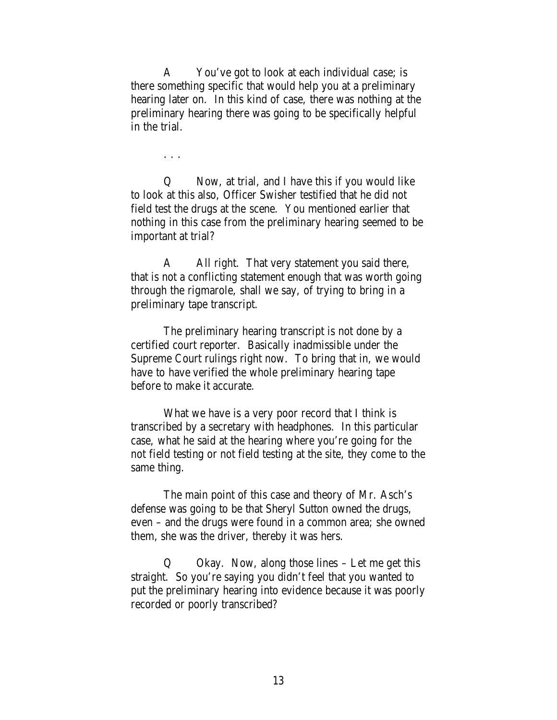A You've got to look at each individual case; is there something specific that would help you at a preliminary hearing later on. In this kind of case, there was nothing at the preliminary hearing there was going to be specifically helpful in the trial.

. . .

Q Now, at trial, and I have this if you would like to look at this also, Officer Swisher testified that he did not field test the drugs at the scene. You mentioned earlier that nothing in this case from the preliminary hearing seemed to be important at trial?

A All right. That very statement you said there, that is not a conflicting statement enough that was worth going through the rigmarole, shall we say, of trying to bring in a preliminary tape transcript.

The preliminary hearing transcript is not done by a certified court reporter. Basically inadmissible under the Supreme Court rulings right now. To bring that in, we would have to have verified the whole preliminary hearing tape before to make it accurate.

What we have is a very poor record that I think is transcribed by a secretary with headphones. In this particular case, what he said at the hearing where you're going for the not field testing or not field testing at the site, they come to the same thing.

The main point of this case and theory of Mr. Asch's defense was going to be that Sheryl Sutton owned the drugs, even – and the drugs were found in a common area; she owned them, she was the driver, thereby it was hers.

Q Okay. Now, along those lines – Let me get this straight. So you're saying you didn't feel that you wanted to put the preliminary hearing into evidence because it was poorly recorded or poorly transcribed?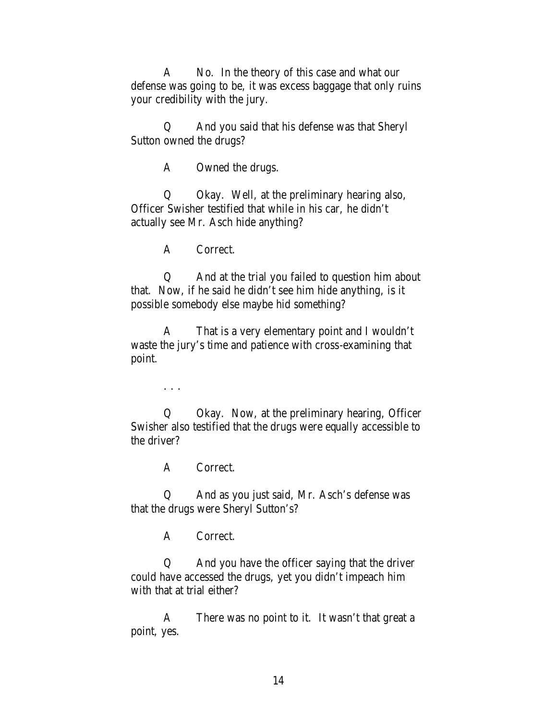A No. In the theory of this case and what our defense was going to be, it was excess baggage that only ruins your credibility with the jury.

Q And you said that his defense was that Sheryl Sutton owned the drugs?

A Owned the drugs.

Q Okay. Well, at the preliminary hearing also, Officer Swisher testified that while in his car, he didn't actually see Mr. Asch hide anything?

A Correct.

Q And at the trial you failed to question him about that. Now, if he said he didn't see him hide anything, is it possible somebody else maybe hid something?

A That is a very elementary point and I wouldn't waste the jury's time and patience with cross-examining that point.

. . .

Q Okay. Now, at the preliminary hearing, Officer Swisher also testified that the drugs were equally accessible to the driver?

A Correct.

Q And as you just said, Mr. Asch's defense was that the drugs were Sheryl Sutton's?

A Correct.

Q And you have the officer saying that the driver could have accessed the drugs, yet you didn't impeach him with that at trial either?

A There was no point to it. It wasn't that great a point, yes.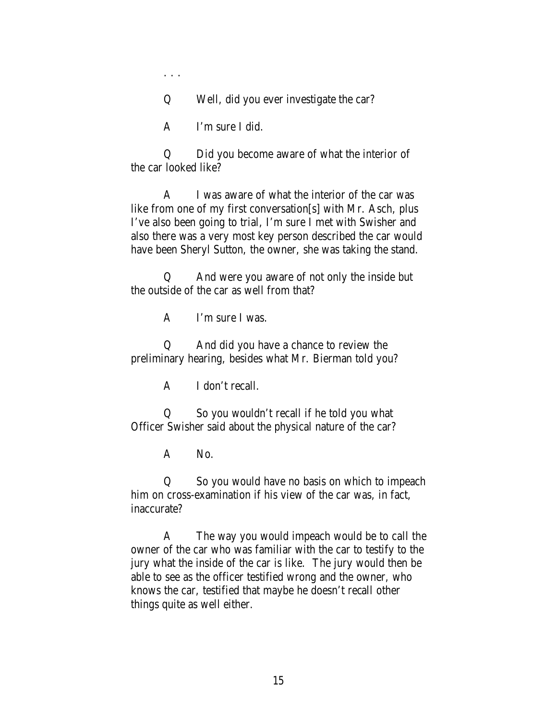. . .

Q Well, did you ever investigate the car?

A I'm sure I did.

Q Did you become aware of what the interior of the car looked like?

A I was aware of what the interior of the car was like from one of my first conversation[s] with Mr. Asch, plus I've also been going to trial, I'm sure I met with Swisher and also there was a very most key person described the car would have been Sheryl Sutton, the owner, she was taking the stand.

Q And were you aware of not only the inside but the outside of the car as well from that?

A I'm sure I was.

Q And did you have a chance to review the preliminary hearing, besides what Mr. Bierman told you?

A I don't recall.

Q So you wouldn't recall if he told you what Officer Swisher said about the physical nature of the car?

A No.

Q So you would have no basis on which to impeach him on cross-examination if his view of the car was, in fact, inaccurate?

A The way you would impeach would be to call the owner of the car who was familiar with the car to testify to the jury what the inside of the car is like. The jury would then be able to see as the officer testified wrong and the owner, who knows the car, testified that maybe he doesn't recall other things quite as well either.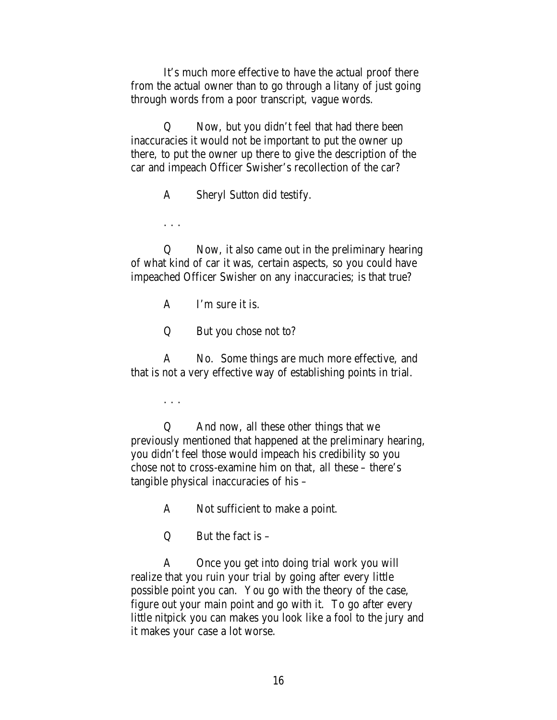It's much more effective to have the actual proof there from the actual owner than to go through a litany of just going through words from a poor transcript, vague words.

Q Now, but you didn't feel that had there been inaccuracies it would not be important to put the owner up there, to put the owner up there to give the description of the car and impeach Officer Swisher's recollection of the car?

A Sheryl Sutton did testify.

. . .

Q Now, it also came out in the preliminary hearing of what kind of car it was, certain aspects, so you could have impeached Officer Swisher on any inaccuracies; is that true?

A I'm sure it is.

Q But you chose not to?

A No. Some things are much more effective, and that is not a very effective way of establishing points in trial.

. . .

Q And now, all these other things that we previously mentioned that happened at the preliminary hearing, you didn't feel those would impeach his credibility so you chose not to cross-examine him on that, all these – there's tangible physical inaccuracies of his –

A Not sufficient to make a point.

 $Q$  But the fact is  $-\frac{1}{2}$ 

A Once you get into doing trial work you will realize that you ruin your trial by going after every little possible point you can. You go with the theory of the case, figure out your main point and go with it. To go after every little nitpick you can makes you look like a fool to the jury and it makes your case a lot worse.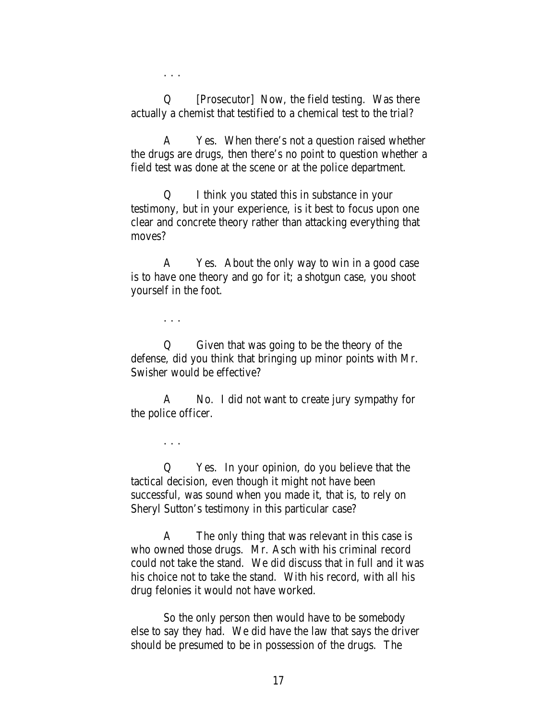. . .

Q [Prosecutor] Now, the field testing. Was there actually a chemist that testified to a chemical test to the trial?

A Yes. When there's not a question raised whether the drugs are drugs, then there's no point to question whether a field test was done at the scene or at the police department.

Q I think you stated this in substance in your testimony, but in your experience, is it best to focus upon one clear and concrete theory rather than attacking everything that moves?

A Yes. About the only way to win in a good case is to have one theory and go for it; a shotgun case, you shoot yourself in the foot.

. . .

Q Given that was going to be the theory of the defense, did you think that bringing up minor points with Mr. Swisher would be effective?

A No. I did not want to create jury sympathy for the police officer.

. . .

Q Yes. In your opinion, do you believe that the tactical decision, even though it might not have been successful, was sound when you made it, that is, to rely on Sheryl Sutton's testimony in this particular case?

A The only thing that was relevant in this case is who owned those drugs. Mr. Asch with his criminal record could not take the stand. We did discuss that in full and it was his choice not to take the stand. With his record, with all his drug felonies it would not have worked.

So the only person then would have to be somebody else to say they had. We did have the law that says the driver should be presumed to be in possession of the drugs. The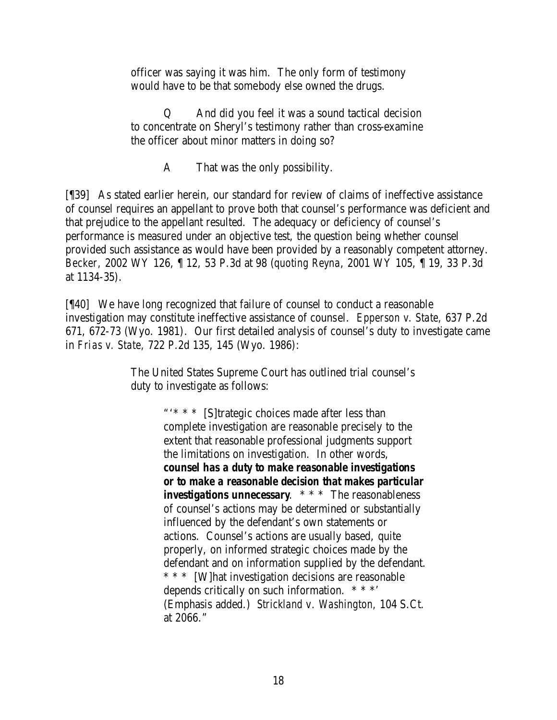officer was saying it was him. The only form of testimony would have to be that somebody else owned the drugs.

Q And did you feel it was a sound tactical decision to concentrate on Sheryl's testimony rather than cross-examine the officer about minor matters in doing so?

A That was the only possibility.

[¶39] As stated earlier herein, our standard for review of claims of ineffective assistance of counsel requires an appellant to prove both that counsel's performance was deficient and that prejudice to the appellant resulted. The adequacy or deficiency of counsel's performance is measured under an objective test, the question being whether counsel provided such assistance as would have been provided by a reasonably competent attorney. *Becker,* 2002 WY 126, ¶ 12, 53 P.3d at 98 (*quoting Reyna*, 2001 WY 105, ¶ 19, 33 P.3d at 1134-35).

[¶40] We have long recognized that failure of counsel to conduct a reasonable investigation may constitute ineffective assistance of counsel. *Epperson v. State,* 637 P.2d 671, 672-73 (Wyo. 1981). Our first detailed analysis of counsel's duty to investigate came in *Frias v. State,* 722 P.2d 135, 145 (Wyo. 1986):

> The United States Supreme Court has outlined trial counsel's duty to investigate as follows:

> > "'\* \* \* [S]trategic choices made after less than complete investigation are reasonable precisely to the extent that reasonable professional judgments support the limitations on investigation. In other words, *counsel has a duty to make reasonable investigations or to make a reasonable decision that makes particular investigations unnecessary.* \* \* \* The reasonableness of counsel's actions may be determined or substantially influenced by the defendant's own statements or actions. Counsel's actions are usually based, quite properly, on informed strategic choices made by the defendant and on information supplied by the defendant. \* \* \* [W]hat investigation decisions are reasonable depends critically on such information. \* \* \*' (Emphasis added.) *Strickland v. Washington,* 104 S.Ct. at 2066."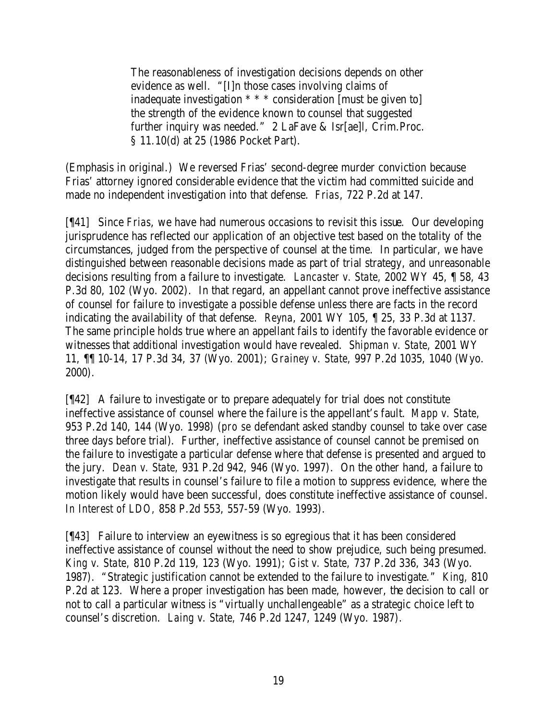The reasonableness of investigation decisions depends on other evidence as well. "[I]n those cases involving claims of inadequate investigation \* \* \* consideration [must be given to] the strength of the evidence known to counsel that suggested further inquiry was needed." 2 LaFave & Isr[ae]l, Crim.Proc. § 11.10(d) at 25 (1986 Pocket Part).

(Emphasis in original.) We reversed Frias' second-degree murder conviction because Frias' attorney ignored considerable evidence that the victim had committed suicide and made no independent investigation into that defense. *Frias*, 722 P.2d at 147.

[¶41] Since *Frias*, we have had numerous occasions to revisit this issue. Our developing jurisprudence has reflected our application of an objective test based on the totality of the circumstances, judged from the perspective of counsel at the time. In particular, we have distinguished between reasonable decisions made as part of trial strategy, and unreasonable decisions resulting from a failure to investigate. *Lancaster v. State,* 2002 WY 45, ¶ 58, 43 P.3d 80, 102 (Wyo. 2002). In that regard, an appellant cannot prove ineffective assistance of counsel for failure to investigate a possible defense unless there are facts in the record indicating the availability of that defense. *Reyna,* 2001 WY 105, ¶ 25, 33 P.3d at 1137. The same principle holds true where an appellant fails to identify the favorable evidence or witnesses that additional investigation would have revealed. *Shipman v. State,* 2001 WY 11, ¶¶ 10-14, 17 P.3d 34, 37 (Wyo. 2001); *Grainey v. State,* 997 P.2d 1035, 1040 (Wyo. 2000).

[¶42] A failure to investigate or to prepare adequately for trial does not constitute ineffective assistance of counsel where the failure is the appellant's fault. *Mapp v. State,*  953 P.2d 140, 144 (Wyo. 1998) (*pro se* defendant asked standby counsel to take over case three days before trial). Further, ineffective assistance of counsel cannot be premised on the failure to investigate a particular defense where that defense is presented and argued to the jury. *Dean v. State,* 931 P.2d 942, 946 (Wyo. 1997). On the other hand, a failure to investigate that results in counsel's failure to file a motion to suppress evidence, where the motion likely would have been successful, does constitute ineffective assistance of counsel. *In Interest of LDO,* 858 P.2d 553, 557-59 (Wyo. 1993).

[¶43] Failure to interview an eyewitness is so egregious that it has been considered ineffective assistance of counsel without the need to show prejudice, such being presumed. *King v. State,* 810 P.2d 119, 123 (Wyo. 1991); *Gist v. State,* 737 P.2d 336, 343 (Wyo. 1987). "Strategic justification cannot be extended to the failure to investigate." *King,* 810 P.2d at 123. Where a proper investigation has been made, however, the decision to call or not to call a particular witness is "virtually unchallengeable" as a strategic choice left to counsel's discretion. *Laing v. State,* 746 P.2d 1247, 1249 (Wyo. 1987).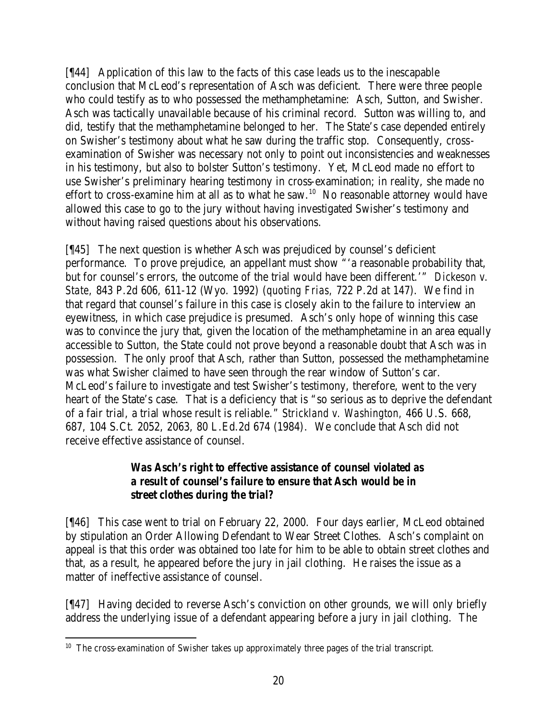[¶44] Application of this law to the facts of this case leads us to the inescapable conclusion that McLeod's representation of Asch was deficient. There were three people who could testify as to who possessed the methamphetamine: Asch, Sutton, and Swisher. Asch was tactically unavailable because of his criminal record. Sutton was willing to, and did, testify that the methamphetamine belonged to her. The State's case depended entirely on Swisher's testimony about what he saw during the traffic stop. Consequently, crossexamination of Swisher was necessary not only to point out inconsistencies and weaknesses in his testimony, but also to bolster Sutton's testimony. Yet, McLeod made no effort to use Swisher's preliminary hearing testimony in cross-examination; in reality, she made no effort to cross-examine him at all as to what he saw.<sup>10</sup> No reasonable attorney would have allowed this case to go to the jury without having investigated Swisher's testimony and without having raised questions about his observations.

[¶45] The next question is whether Asch was prejudiced by counsel's deficient performance. To prove prejudice, an appellant must show "'a reasonable probability that, but for counsel's errors, the outcome of the trial would have been different.'" *Dickeson v. State,* 843 P.2d 606, 611-12 (Wyo. 1992) (*quoting Frias,* 722 P.2d at 147). We find in that regard that counsel's failure in this case is closely akin to the failure to interview an eyewitness, in which case prejudice is presumed. Asch's only hope of winning this case was to convince the jury that, given the location of the methamphetamine in an area equally accessible to Sutton, the State could not prove beyond a reasonable doubt that Asch was in possession. The only proof that Asch, rather than Sutton, possessed the methamphetamine was what Swisher claimed to have seen through the rear window of Sutton's car. McLeod's failure to investigate and test Swisher's testimony, therefore, went to the very heart of the State's case. That is a deficiency that is "so serious as to deprive the defendant of a fair trial, a trial whose result is reliable." *Strickland v. Washington,* 466 U.S. 668, 687, 104 S.Ct. 2052, 2063, 80 L.Ed.2d 674 (1984). We conclude that Asch did not receive effective assistance of counsel.

# *Was Asch's right to effective assistance of counsel violated as a result of counsel's failure to ensure that Asch would be in street clothes during the trial?*

[¶46] This case went to trial on February 22, 2000. Four days earlier, McLeod obtained by stipulation an Order Allowing Defendant to Wear Street Clothes. Asch's complaint on appeal is that this order was obtained too late for him to be able to obtain street clothes and that, as a result, he appeared before the jury in jail clothing. He raises the issue as a matter of ineffective assistance of counsel.

[¶47] Having decided to reverse Asch's conviction on other grounds, we will only briefly address the underlying issue of a defendant appearing before a jury in jail clothing. The

  $10$  The cross-examination of Swisher takes up approximately three pages of the trial transcript.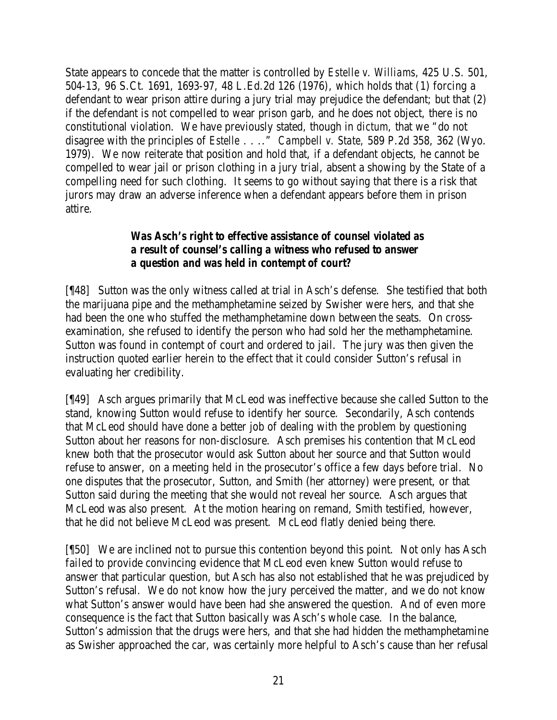State appears to concede that the matter is controlled by *Estelle v. Williams,* 425 U.S. 501, 504-13, 96 S.Ct. 1691, 1693-97, 48 L.Ed.2d 126 (1976), which holds that (1) forcing a defendant to wear prison attire during a jury trial may prejudice the defendant; but that (2) if the defendant is not compelled to wear prison garb, and he does not object, there is no constitutional violation. We have previously stated, though in *dictum*, that we "do not disagree with the principles of *Estelle* . . .." *Campbell v. State,* 589 P.2d 358, 362 (Wyo. 1979). We now reiterate that position and hold that, if a defendant objects, he cannot be compelled to wear jail or prison clothing in a jury trial, absent a showing by the State of a compelling need for such clothing. It seems to go without saying that there is a risk that jurors may draw an adverse inference when a defendant appears before them in prison attire.

## *Was Asch's right to effective assistance of counsel violated as a result of counsel's calling a witness who refused to answer a question and was held in contempt of court?*

[¶48] Sutton was the only witness called at trial in Asch's defense. She testified that both the marijuana pipe and the methamphetamine seized by Swisher were hers, and that she had been the one who stuffed the methamphetamine down between the seats. On crossexamination, she refused to identify the person who had sold her the methamphetamine. Sutton was found in contempt of court and ordered to jail. The jury was then given the instruction quoted earlier herein to the effect that it could consider Sutton's refusal in evaluating her credibility.

[¶49] Asch argues primarily that McLeod was ineffective because she called Sutton to the stand, knowing Sutton would refuse to identify her source. Secondarily, Asch contends that McLeod should have done a better job of dealing with the problem by questioning Sutton about her reasons for non-disclosure. Asch premises his contention that McLeod knew both that the prosecutor would ask Sutton about her source and that Sutton would refuse to answer, on a meeting held in the prosecutor's office a few days before trial. No one disputes that the prosecutor, Sutton, and Smith (her attorney) were present, or that Sutton said during the meeting that she would not reveal her source. Asch argues that McLeod was also present. At the motion hearing on remand, Smith testified, however, that he did not believe McLeod was present. McLeod flatly denied being there.

[¶50] We are inclined not to pursue this contention beyond this point. Not only has Asch failed to provide convincing evidence that McLeod even knew Sutton would refuse to answer that particular question, but Asch has also not established that he was prejudiced by Sutton's refusal. We do not know how the jury perceived the matter, and we do not know what Sutton's answer would have been had she answered the question. And of even more consequence is the fact that Sutton basically was Asch's whole case. In the balance, Sutton's admission that the drugs were hers, and that she had hidden the methamphetamine as Swisher approached the car, was certainly more helpful to Asch's cause than her refusal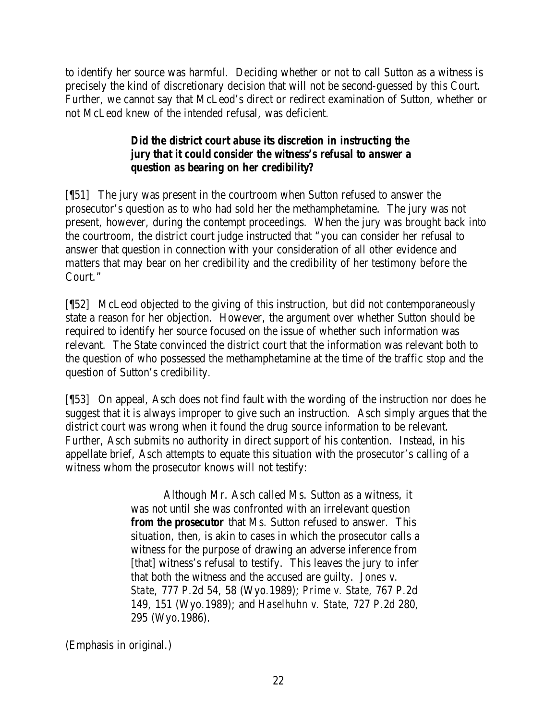to identify her source was harmful. Deciding whether or not to call Sutton as a witness is precisely the kind of discretionary decision that will not be second-guessed by this Court. Further, we cannot say that McLeod's direct or redirect examination of Sutton, whether or not McLeod knew of the intended refusal, was deficient.

# *Did the district court abuse its discretion in instructing the jury that it could consider the witness's refusal to answer a question as bearing on her credibility?*

[¶51] The jury was present in the courtroom when Sutton refused to answer the prosecutor's question as to who had sold her the methamphetamine. The jury was not present, however, during the contempt proceedings. When the jury was brought back into the courtroom, the district court judge instructed that "you can consider her refusal to answer that question in connection with your consideration of all other evidence and matters that may bear on her credibility and the credibility of her testimony before the Court."

[¶52] McLeod objected to the giving of this instruction, but did not contemporaneously state a reason for her objection. However, the argument over whether Sutton should be required to identify her source focused on the issue of whether such information was relevant. The State convinced the district court that the information was relevant both to the question of who possessed the methamphetamine at the time of the traffic stop and the question of Sutton's credibility.

[¶53] On appeal, Asch does not find fault with the wording of the instruction nor does he suggest that it is always improper to give such an instruction. Asch simply argues that the district court was wrong when it found the drug source information to be relevant. Further, Asch submits no authority in direct support of his contention. Instead, in his appellate brief, Asch attempts to equate this situation with the prosecutor's calling of a witness whom the prosecutor knows will not testify:

> Although Mr. Asch called Ms. Sutton as a witness, it was not until she was confronted with an irrelevant question *from the prosecutor* that Ms. Sutton refused to answer. This situation, then, is akin to cases in which the prosecutor calls a witness for the purpose of drawing an adverse inference from [that] witness's refusal to testify. This leaves the jury to infer that both the witness and the accused are guilty. *Jones v. State,* 777 P.2d 54, 58 (Wyo.1989); *Prime v. State,* 767 P.2d 149, 151 (Wyo.1989); and *Haselhuhn v. State,* 727 P.2d 280, 295 (Wyo.1986).

(Emphasis in original.)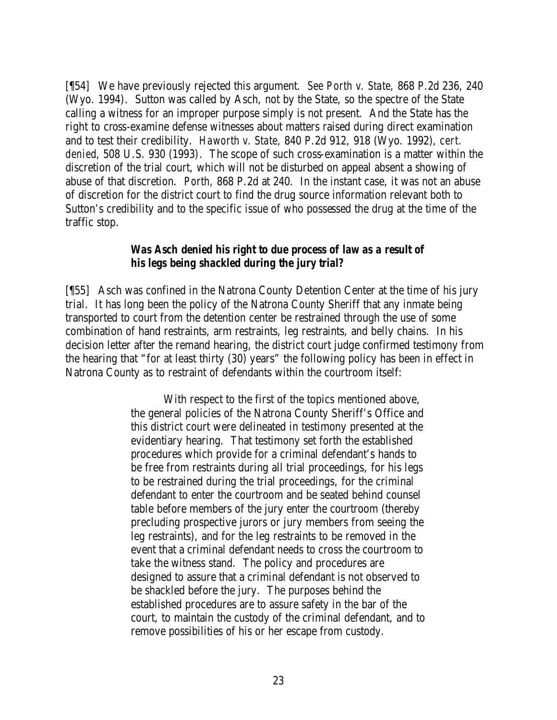[¶54] We have previously rejected this argument. *See Porth v. State,* 868 P.2d 236, 240 (Wyo. 1994). Sutton was called by Asch, not by the State, so the spectre of the State calling a witness for an improper purpose simply is not present. And the State has the right to cross-examine defense witnesses about matters raised during direct examination and to test their credibility. *Haworth v. State,* 840 P.2d 912, 918 (Wyo. 1992), *cert. denied*, 508 U.S. 930 (1993). The scope of such cross-examination is a matter within the discretion of the trial court, which will not be disturbed on appeal absent a showing of abuse of that discretion. *Porth,* 868 P.2d at 240. In the instant case, it was not an abuse of discretion for the district court to find the drug source information relevant both to Sutton's credibility and to the specific issue of who possessed the drug at the time of the traffic stop.

#### *Was Asch denied his right to due process of law as a result of his legs being shackled during the jury trial?*

[¶55] Asch was confined in the Natrona County Detention Center at the time of his jury trial. It has long been the policy of the Natrona County Sheriff that any inmate being transported to court from the detention center be restrained through the use of some combination of hand restraints, arm restraints, leg restraints, and belly chains. In his decision letter after the remand hearing, the district court judge confirmed testimony from the hearing that "for at least thirty (30) years" the following policy has been in effect in Natrona County as to restraint of defendants within the courtroom itself:

> With respect to the first of the topics mentioned above, the general policies of the Natrona County Sheriff's Office and this district court were delineated in testimony presented at the evidentiary hearing. That testimony set forth the established procedures which provide for a criminal defendant's hands to be free from restraints during all trial proceedings, for his legs to be restrained during the trial proceedings, for the criminal defendant to enter the courtroom and be seated behind counsel table before members of the jury enter the courtroom (thereby precluding prospective jurors or jury members from seeing the leg restraints), and for the leg restraints to be removed in the event that a criminal defendant needs to cross the courtroom to take the witness stand. The policy and procedures are designed to assure that a criminal defendant is not observed to be shackled before the jury. The purposes behind the established procedures are to assure safety in the bar of the court, to maintain the custody of the criminal defendant, and to remove possibilities of his or her escape from custody.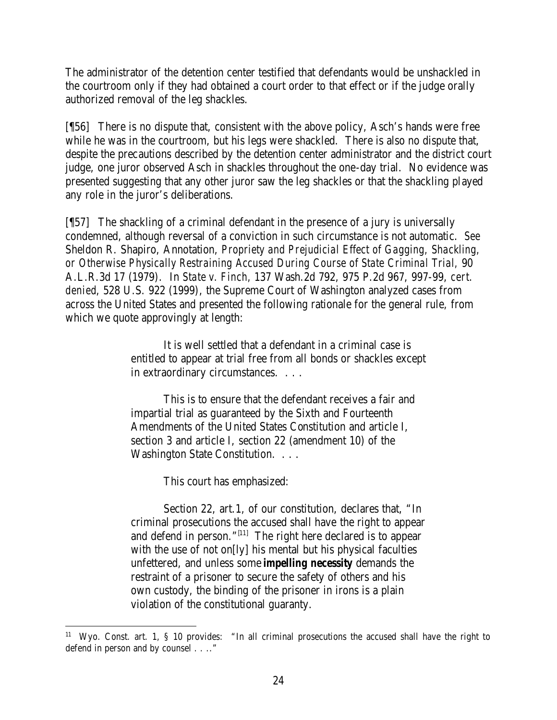The administrator of the detention center testified that defendants would be unshackled in the courtroom only if they had obtained a court order to that effect or if the judge orally authorized removal of the leg shackles.

[¶56] There is no dispute that, consistent with the above policy, Asch's hands were free while he was in the courtroom, but his legs were shackled. There is also no dispute that, despite the precautions described by the detention center administrator and the district court judge, one juror observed Asch in shackles throughout the one-day trial. No evidence was presented suggesting that any other juror saw the leg shackles or that the shackling played any role in the juror's deliberations.

[¶57] The shackling of a criminal defendant in the presence of a jury is universally condemned, although reversal of a conviction in such circumstance is not automatic. *See*  Sheldon R. Shapiro, Annotation, *Propriety and Prejudicial Effect of Gagging, Shackling, or Otherwise Physically Restraining Accused During Course of State Criminal Trial,* 90 A.L.R.3d 17 (1979). In *State v. Finch,* 137 Wash.2d 792, 975 P.2d 967, 997-99, *cert. denied*, 528 U.S. 922 (1999), the Supreme Court of Washington analyzed cases from across the United States and presented the following rationale for the general rule, from which we quote approvingly at length:

> It is well settled that a defendant in a criminal case is entitled to appear at trial free from all bonds or shackles except in extraordinary circumstances. . . .

This is to ensure that the defendant receives a fair and impartial trial as guaranteed by the Sixth and Fourteenth Amendments of the United States Constitution and article I, section 3 and article I, section 22 (amendment 10) of the Washington State Constitution. . . .

This court has emphasized:

Section 22, art.1, of our constitution, declares that, "In criminal prosecutions the accused shall have the right to appear and defend in person." $[11]$  The right here declared is to appear with the use of not on[ly] his mental but his physical faculties unfettered, and unless some *impelling necessity* demands the restraint of a prisoner to secure the safety of others and his own custody, the binding of the prisoner in irons is a plain violation of the constitutional guaranty.

<sup>&</sup>lt;sup>11</sup> Wyo. Const. art. 1, § 10 provides: "In all criminal prosecutions the accused shall have the right to defend in person and by counsel . . .."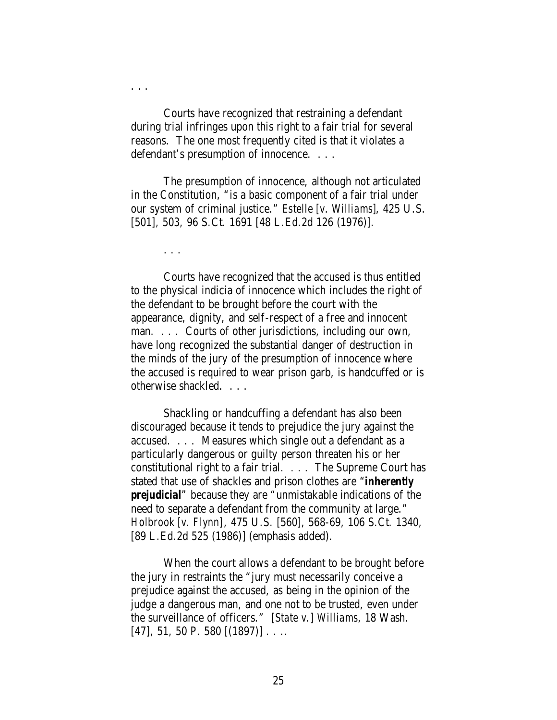Courts have recognized that restraining a defendant during trial infringes upon this right to a fair trial for several reasons. The one most frequently cited is that it violates a defendant's presumption of innocence. . . .

The presumption of innocence, although not articulated in the Constitution, "is a basic component of a fair trial under our system of criminal justice." *Estelle [v. Williams]*, 425 U.S. [501], 503, 96 S.Ct. 1691 [48 L.Ed.2d 126 (1976)].

. . .

. . .

Courts have recognized that the accused is thus entitled to the physical indicia of innocence which includes the right of the defendant to be brought before the court with the appearance, dignity, and self-respect of a free and innocent man. . . . Courts of other jurisdictions, including our own, have long recognized the substantial danger of destruction in the minds of the jury of the presumption of innocence where the accused is required to wear prison garb, is handcuffed or is otherwise shackled. . . .

Shackling or handcuffing a defendant has also been discouraged because it tends to prejudice the jury against the accused. . . . Measures which single out a defendant as a particularly dangerous or guilty person threaten his or her constitutional right to a fair trial. . . . The Supreme Court has stated that use of shackles and prison clothes are "*inherently prejudicial*" because they are "unmistakable indications of the need to separate a defendant from the community at large." *Holbrook [v. Flynn]*, 475 U.S. [560], 568-69, 106 S.Ct. 1340, [89 L.Ed.2d 525 (1986)] (emphasis added).

When the court allows a defendant to be brought before the jury in restraints the "jury must necessarily conceive a prejudice against the accused, as being in the opinion of the judge a dangerous man, and one not to be trusted, even under the surveillance of officers." *[State v.] Williams,* 18 Wash.  $[47], 51, 50$  P. 580  $[(1897)]$ ...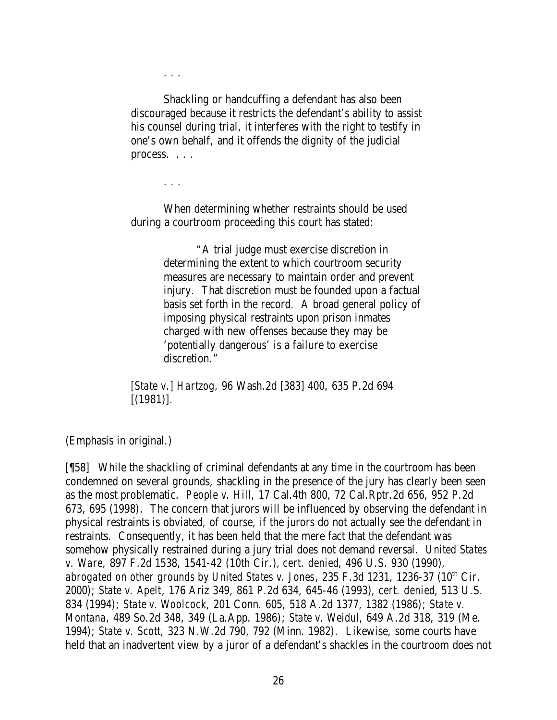. . .

Shackling or handcuffing a defendant has also been discouraged because it restricts the defendant's ability to assist his counsel during trial, it interferes with the right to testify in one's own behalf, and it offends the dignity of the judicial process. . . .

. . .

When determining whether restraints should be used during a courtroom proceeding this court has stated:

> "A trial judge must exercise discretion in determining the extent to which courtroom security measures are necessary to maintain order and prevent injury. That discretion must be founded upon a factual basis set forth in the record. A broad general policy of imposing physical restraints upon prison inmates charged with new offenses because they may be 'potentially dangerous' is a failure to exercise discretion."

*[State v.] Hartzog,* 96 Wash.2d [383] 400, 635 P.2d 694 [(1981)].

(Emphasis in original.)

[¶58] While the shackling of criminal defendants at any time in the courtroom has been condemned on several grounds, shackling in the presence of the jury has clearly been seen as the most problematic. *People v. Hill,* 17 Cal.4th 800, 72 Cal.Rptr.2d 656, 952 P.2d 673, 695 (1998). The concern that jurors will be influenced by observing the defendant in physical restraints is obviated, of course, if the jurors do not actually see the defendant in restraints. Consequently, it has been held that the mere fact that the defendant was somehow physically restrained during a jury trial does not demand reversal. *United States v. Ware,* 897 F.2d 1538, 1541-42 (10th Cir.), *cert. denied*, 496 U.S. 930 (1990), *abrogated on other grounds by United States v. Jones, 235 F.3d 1231, 1236-37 (10<sup>th</sup> Cir.* 2000); *State v. Apelt*, 176 Ariz 349, 861 P.2d 634, 645-46 (1993), *cert. denied*, 513 U.S. 834 (1994); *State v. Woolcock,* 201 Conn. 605, 518 A.2d 1377, 1382 (1986); *State v. Montana,* 489 So.2d 348, 349 (La.App. 1986); *State v. Weidul,* 649 A.2d 318, 319 (Me. 1994); *State v. Scott,* 323 N.W.2d 790, 792 (Minn. 1982). Likewise, some courts have held that an inadvertent view by a juror of a defendant's shackles in the courtroom does not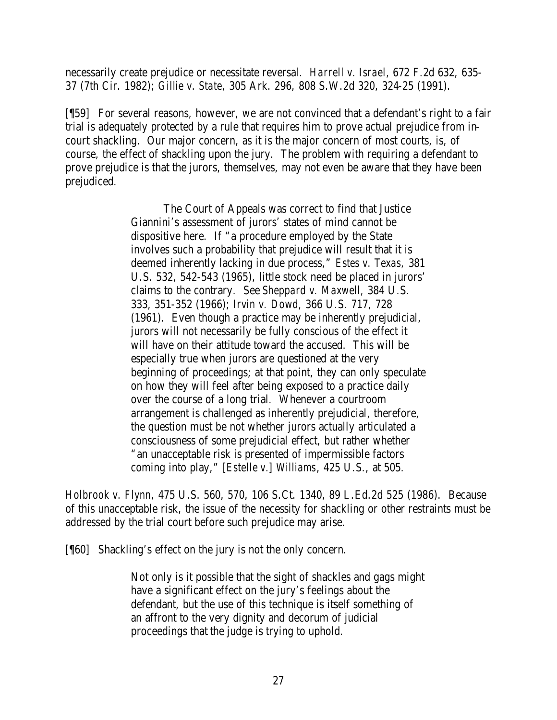necessarily create prejudice or necessitate reversal. *Harrell v. Israel,* 672 F.2d 632, 635- 37 (7th Cir. 1982); *Gillie v. State,* 305 Ark. 296, 808 S.W.2d 320, 324-25 (1991).

[¶59] For several reasons, however, we are not convinced that a defendant's right to a fair trial is adequately protected by a rule that requires him to prove actual prejudice from incourt shackling. Our major concern, as it is the major concern of most courts, is, of course, the effect of shackling upon the jury. The problem with requiring a defendant to prove prejudice is that the jurors, themselves, may not even be aware that they have been prejudiced.

> The Court of Appeals was correct to find that Justice Giannini's assessment of jurors' states of mind cannot be dispositive here. If "a procedure employed by the State involves such a probability that prejudice will result that it is deemed inherently lacking in due process," *Estes v. Texas,* 381 U.S. 532, 542-543 (1965), little stock need be placed in jurors' claims to the contrary. See *Sheppard v. Maxwell,* 384 U.S. 333, 351-352 (1966); *Irvin v. Dowd,* 366 U.S. 717, 728 (1961). Even though a practice may be inherently prejudicial, jurors will not necessarily be fully conscious of the effect it will have on their attitude toward the accused. This will be especially true when jurors are questioned at the very beginning of proceedings; at that point, they can only speculate on how they will feel after being exposed to a practice daily over the course of a long trial. Whenever a courtroom arrangement is challenged as inherently prejudicial, therefore, the question must be not whether jurors actually articulated a consciousness of some prejudicial effect, but rather whether "an unacceptable risk is presented of impermissible factors coming into play," [*Estelle v.*] *Williams*, 425 U.S., at 505.

*Holbrook v. Flynn,* 475 U.S. 560, 570, 106 S.Ct. 1340, 89 L.Ed.2d 525 (1986). Because of this unacceptable risk, the issue of the necessity for shackling or other restraints must be addressed by the trial court before such prejudice may arise.

[¶60] Shackling's effect on the jury is not the only concern.

Not only is it possible that the sight of shackles and gags might have a significant effect on the jury's feelings about the defendant, but the use of this technique is itself something of an affront to the very dignity and decorum of judicial proceedings that the judge is trying to uphold.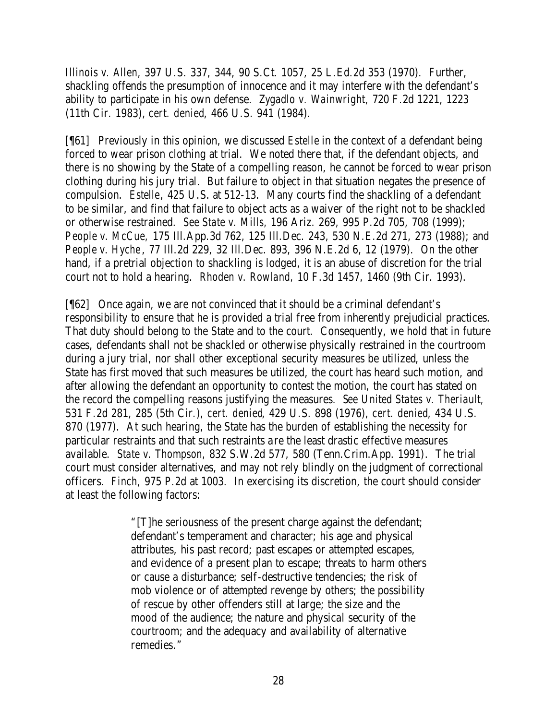*Illinois v. Allen,* 397 U.S. 337, 344, 90 S.Ct. 1057, 25 L.Ed.2d 353 (1970). Further, shackling offends the presumption of innocence and it may interfere with the defendant's ability to participate in his own defense. *Zygadlo v. Wainwright,* 720 F.2d 1221, 1223 (11th Cir. 1983), *cert. denied*, 466 U.S. 941 (1984).

[¶61] Previously in this opinion, we discussed *Estelle* in the context of a defendant being forced to wear prison clothing at trial. We noted there that, if the defendant objects, and there is no showing by the State of a compelling reason, he cannot be forced to wear prison clothing during his jury trial. But failure to object in that situation negates the presence of compulsion. *Estelle*, 425 U.S. at 512-13. Many courts find the shackling of a defendant to be similar, and find that failure to object acts as a waiver of the right not to be shackled or otherwise restrained. *See State v. Mills,* 196 Ariz. 269, 995 P.2d 705, 708 (1999); *People v. McCue,* 175 Ill.App.3d 762, 125 Ill.Dec. 243, 530 N.E.2d 271, 273 (1988); and *People v. Hyche*, 77 Ill.2d 229, 32 Ill.Dec. 893, 396 N.E.2d 6, 12 (1979). On the other hand, if a pretrial objection to shackling is lodged, it is an abuse of discretion for the trial court not to hold a hearing. *Rhoden v. Rowland,* 10 F.3d 1457, 1460 (9th Cir. 1993).

[¶62] Once again, we are not convinced that it should be a criminal defendant's responsibility to ensure that he is provided a trial free from inherently prejudicial practices. That duty should belong to the State and to the court. Consequently, we hold that in future cases, defendants shall not be shackled or otherwise physically restrained in the courtroom during a jury trial, nor shall other exceptional security measures be utilized, unless the State has first moved that such measures be utilized, the court has heard such motion, and after allowing the defendant an opportunity to contest the motion, the court has stated on the record the compelling reasons justifying the measures. *See United States v. Theriault,*  531 F.2d 281, 285 (5th Cir.), *cert. denied*, 429 U.S. 898 (1976), *cert. denied*, 434 U.S. 870 (1977). At such hearing, the State has the burden of establishing the necessity for particular restraints and that such restraints a re the least drastic effective measures available. *State v. Thompson,* 832 S.W.2d 577, 580 (Tenn.Crim.App. 1991). The trial court must consider alternatives, and may not rely blindly on the judgment of correctional officers. *Finch,* 975 P.2d at 1003. In exercising its discretion, the court should consider at least the following factors:

> "[T]he seriousness of the present charge against the defendant; defendant's temperament and character; his age and physical attributes, his past record; past escapes or attempted escapes, and evidence of a present plan to escape; threats to harm others or cause a disturbance; self-destructive tendencies; the risk of mob violence or of attempted revenge by others; the possibility of rescue by other offenders still at large; the size and the mood of the audience; the nature and physical security of the courtroom; and the adequacy and availability of alternative remedies."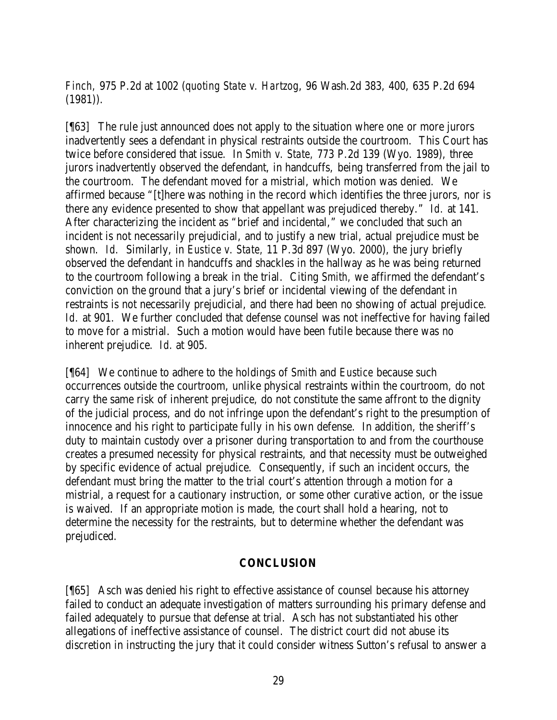*Finch,* 975 P.2d at 1002 (*quoting State v. Hartzog*, 96 Wash.2d 383, 400, 635 P.2d 694  $(1981)$ .

[¶63] The rule just announced does not apply to the situation where one or more jurors inadvertently sees a defendant in physical restraints outside the courtroom. This Court has twice before considered that issue. In *Smith v. State,* 773 P.2d 139 (Wyo. 1989), three jurors inadvertently observed the defendant, in handcuffs, being transferred from the jail to the courtroom. The defendant moved for a mistrial, which motion was denied. We affirmed because "[t]here was nothing in the record which identifies the three jurors, nor is there any evidence presented to show that appellant was prejudiced thereby." *Id.* at 141. After characterizing the incident as "brief and incidental," we concluded that such an incident is not necessarily prejudicial, and to justify a new trial, actual prejudice must be shown. *Id.* Similarly, in *Eustice v. State,* 11 P.3d 897 (Wyo. 2000), the jury briefly observed the defendant in handcuffs and shackles in the hallway as he was being returned to the courtroom following a break in the trial. Citing *Smith,* we affirmed the defendant's conviction on the ground that a jury's brief or incidental viewing of the defendant in restraints is not necessarily prejudicial, and there had been no showing of actual prejudice. Id. at 901. We further concluded that defense counsel was not ineffective for having failed to move for a mistrial. Such a motion would have been futile because there was no inherent prejudice. *Id.* at 905.

[¶64] We continue to adhere to the holdings of *Smith* and *Eustice* because such occurrences outside the courtroom, unlike physical restraints within the courtroom, do not carry the same risk of inherent prejudice, do not constitute the same affront to the dignity of the judicial process, and do not infringe upon the defendant's right to the presumption of innocence and his right to participate fully in his own defense. In addition, the sheriff's duty to maintain custody over a prisoner during transportation to and from the courthouse creates a presumed necessity for physical restraints, and that necessity must be outweighed by specific evidence of actual prejudice. Consequently, if such an incident occurs, the defendant must bring the matter to the trial court's attention through a motion for a mistrial, a request for a cautionary instruction, or some other curative action, or the issue is waived. If an appropriate motion is made, the court shall hold a hearing, not to determine the necessity for the restraints, but to determine whether the defendant was prejudiced.

#### **CONCLUSION**

[¶65] Asch was denied his right to effective assistance of counsel because his attorney failed to conduct an adequate investigation of matters surrounding his primary defense and failed adequately to pursue that defense at trial. Asch has not substantiated his other allegations of ineffective assistance of counsel. The district court did not abuse its discretion in instructing the jury that it could consider witness Sutton's refusal to answer a